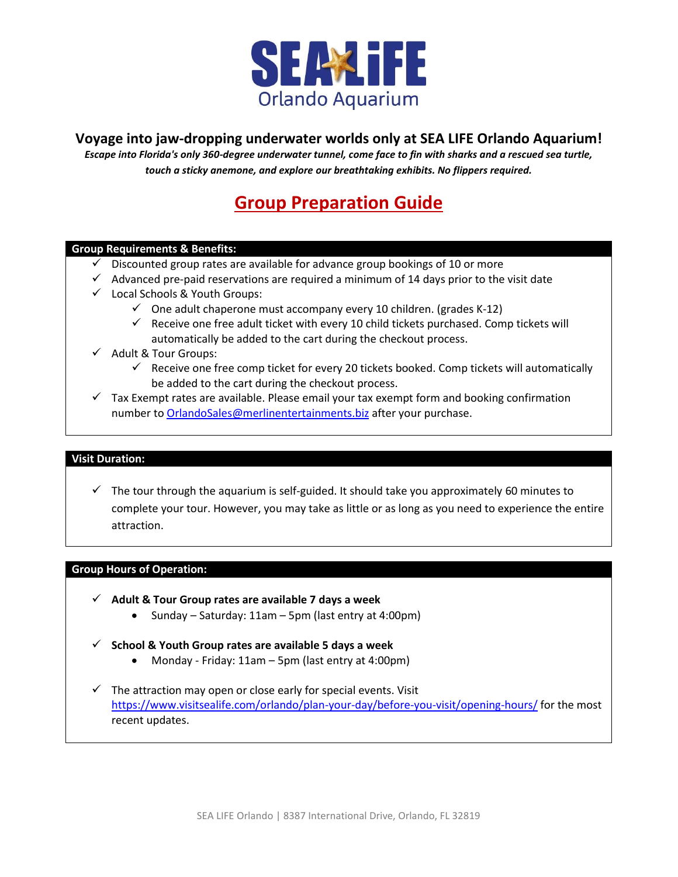

## **Voyage into jaw-dropping underwater worlds only at SEA LIFE Orlando Aquarium!**

*Escape into Florida's only 360-degree underwater tunnel, come face to fin with sharks and a rescued sea turtle, touch a sticky anemone, and explore our breathtaking exhibits. No flippers required.*

# **Group Preparation Guide**

#### **Group Requirements & Benefits:**

- $\checkmark$  Discounted group rates are available for advance group bookings of 10 or more
- $\checkmark$  Advanced pre-paid reservations are required a minimum of 14 days prior to the visit date
- Local Schools & Youth Groups:
	- $\checkmark$  One adult chaperone must accompany every 10 children. (grades K-12)
	- $\checkmark$  Receive one free adult ticket with every 10 child tickets purchased. Comp tickets will automatically be added to the cart during the checkout process.
- $\checkmark$  Adult & Tour Groups:
	- $\checkmark$  Receive one free comp ticket for every 20 tickets booked. Comp tickets will automatically be added to the cart during the checkout process.
- $\checkmark$  Tax Exempt rates are available. Please email your tax exempt form and booking confirmation number t[o OrlandoSales@merlinentertainments.biz](mailto:OrlandoSales@merlinentertainments.biz) after your purchase.

#### **Visit Duration:**

 $\checkmark$  The tour through the aquarium is self-guided. It should take you approximately 60 minutes to complete your tour. However, you may take as little or as long as you need to experience the entire attraction.

#### **Group Hours of Operation:**

- **Adult & Tour Group rates are available 7 days a week**
	- Sunday Saturday: 11am 5pm (last entry at 4:00pm)
- **School & Youth Group rates are available 5 days a week**
	- Monday Friday: 11am 5pm (last entry at 4:00pm)
- $\checkmark$  The attraction may open or close early for special events. Visit <https://www.visitsealife.com/orlando/plan-your-day/before-you-visit/opening-hours/> for the most recent updates.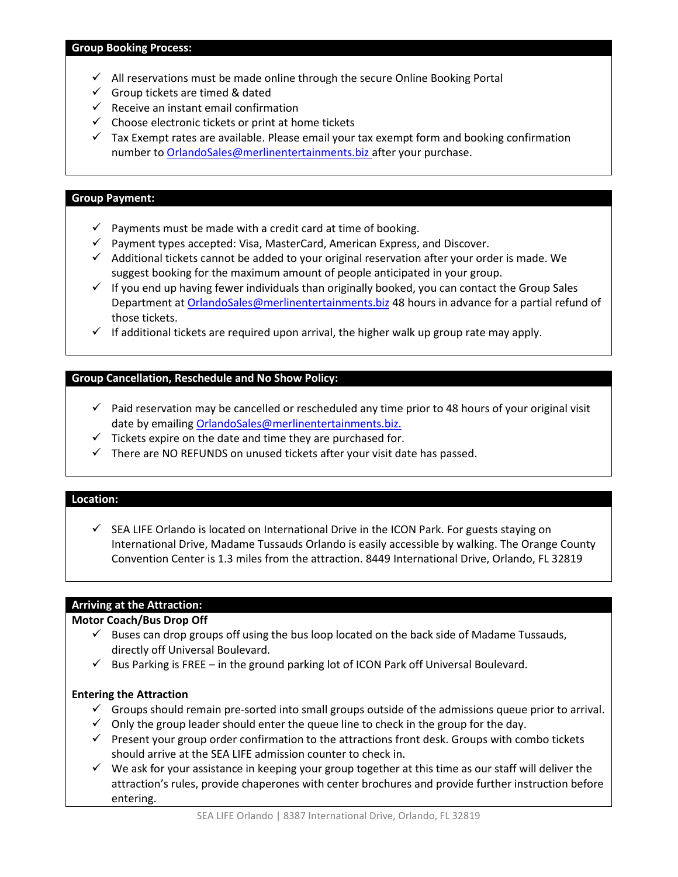- $\checkmark$  All reservations must be made online through the secure Online Booking Portal
- $\checkmark$  Group tickets are timed & dated
- $\checkmark$  Receive an instant email confirmation
- $\checkmark$  Choose electronic tickets or print at home tickets
- $\checkmark$  Tax Exempt rates are available. Please email your tax exempt form and booking confirmation number t[o OrlandoSales@merlinentertainments.biz](mailto:OrlandoSales@merlinentertainments.biz) after your purchase.

#### **Group Payment:**

- $\checkmark$  Payments must be made with a credit card at time of booking.
- $\checkmark$  Payment types accepted: Visa, MasterCard, American Express, and Discover.
- $\checkmark$  Additional tickets cannot be added to your original reservation after your order is made. We suggest booking for the maximum amount of people anticipated in your group.
- $\checkmark$  If you end up having fewer individuals than originally booked, you can contact the Group Sales Department at [OrlandoSales@merlinentertainments.biz](mailto:OrlandoSales@merlinentertainments.biz) 48 hours in advance for a partial refund of those tickets.
- $\checkmark$  If additional tickets are required upon arrival, the higher walk up group rate may apply.

## **Group Cancellation, Reschedule and No Show Policy:**

- $\checkmark$  Paid reservation may be cancelled or rescheduled any time prior to 48 hours of your original visit date by emailing [OrlandoSales@merlinentertainments.biz.](mailto:OrlandoSales@merlinentertainments.biz)
- $\checkmark$  Tickets expire on the date and time they are purchased for.
- $\checkmark$  There are NO REFUNDS on unused tickets after your visit date has passed.

#### **Location:**

 $\checkmark$  SEA LIFE Orlando is located on International Drive in the ICON Park. For guests staying on International Drive, Madame Tussauds Orlando is easily accessible by walking. The Orange County Convention Center is 1.3 miles from the attraction. 8449 International Drive, Orlando, FL 32819

#### **Arriving at the Attraction:**

#### **Motor Coach/Bus Drop Off**

- $\checkmark$  Buses can drop groups off using the bus loop located on the back side of Madame Tussauds, directly off Universal Boulevard.
- $\checkmark$  Bus Parking is FREE in the ground parking lot of ICON Park off Universal Boulevard.

#### **Entering the Attraction**

- $\checkmark$  Groups should remain pre-sorted into small groups outside of the admissions queue prior to arrival.
- $\checkmark$  Only the group leader should enter the queue line to check in the group for the day.
- $\checkmark$  Present your group order confirmation to the attractions front desk. Groups with combo tickets should arrive at the SEA LIFE admission counter to check in.
- $\checkmark$  We ask for your assistance in keeping your group together at this time as our staff will deliver the attraction's rules, provide chaperones with center brochures and provide further instruction before entering.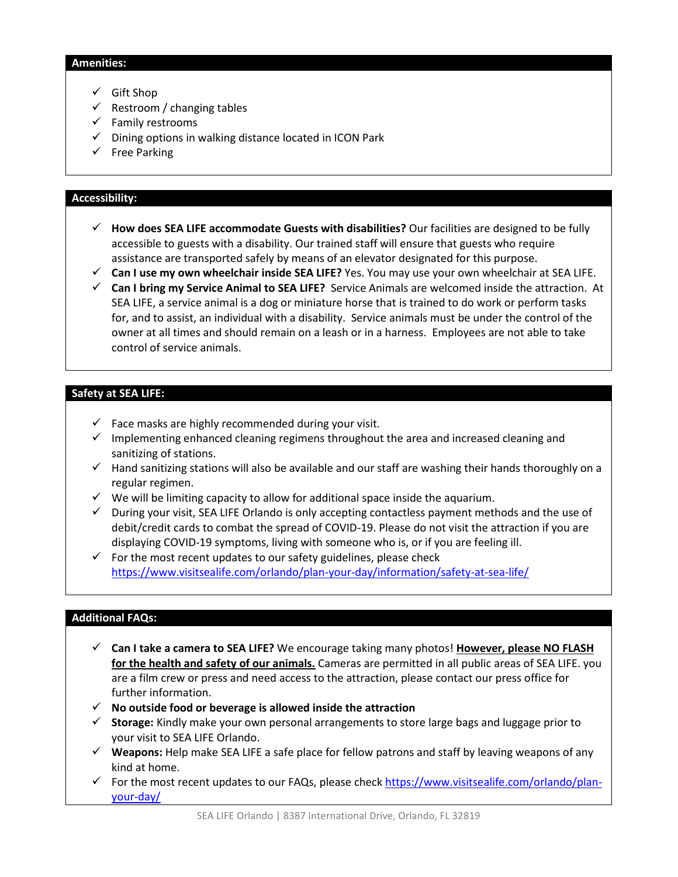#### **Amenities:**

- $\checkmark$  Gift Shop
- $\checkmark$  Restroom / changing tables
- $\checkmark$  Family restrooms
- $\checkmark$  Dining options in walking distance located in ICON Park
- $\checkmark$  Free Parking

#### **Accessibility:**

- **How does SEA LIFE accommodate Guests with disabilities?** Our facilities are designed to be fully accessible to guests with a disability. Our trained staff will ensure that guests who require assistance are transported safely by means of an elevator designated for this purpose.
- **Can I use my own wheelchair inside SEA LIFE?** Yes. You may use your own wheelchair at SEA LIFE.
- **Can I bring my Service Animal to SEA LIFE?** Service Animals are welcomed inside the attraction. At SEA LIFE, a service animal is a dog or miniature horse that is trained to do work or perform tasks for, and to assist, an individual with a disability. Service animals must be under the control of the owner at all times and should remain on a leash or in a harness. Employees are not able to take control of service animals.

#### **Safety at SEA LIFE:**

- $\checkmark$  Face masks are highly recommended during your visit.
- $\checkmark$  Implementing enhanced cleaning regimens throughout the area and increased cleaning and sanitizing of stations.
- $\checkmark$  Hand sanitizing stations will also be available and our staff are washing their hands thoroughly on a regular regimen.
- $\checkmark$  We will be limiting capacity to allow for additional space inside the aquarium.
- $\checkmark$  During your visit, SEA LIFE Orlando is only accepting contactless payment methods and the use of debit/credit cards to combat the spread of COVID-19. Please do not visit the attraction if you are displaying COVID-19 symptoms, living with someone who is, or if you are feeling ill.
- $\checkmark$  For the most recent updates to our safety guidelines, please check <https://www.visitsealife.com/orlando/plan-your-day/information/safety-at-sea-life/>

#### **Additional FAQs:**

- **Can I take a camera to SEA LIFE?** We encourage taking many photos! **However, please NO FLASH for the health and safety of our animals.** Cameras are permitted in all public areas of SEA LIFE. you are a film crew or press and need access to the attraction, please contact our press office for further information.
- **No outside food or beverage is allowed inside the attraction**
- **Storage:** Kindly make your own personal arrangements to store large bags and luggage prior to your visit to SEA LIFE Orlando.
- **Weapons:** Help make SEA LIFE a safe place for fellow patrons and staff by leaving weapons of any kind at home.
- For the most recent updates to our FAQs, please check  $\frac{https://www.visitsealife.com/orlando/plan-}{https://www.visitsealife.com/orlando/plan-}$ [your-day/](https://www.visitsealife.com/orlando/plan-your-day/)